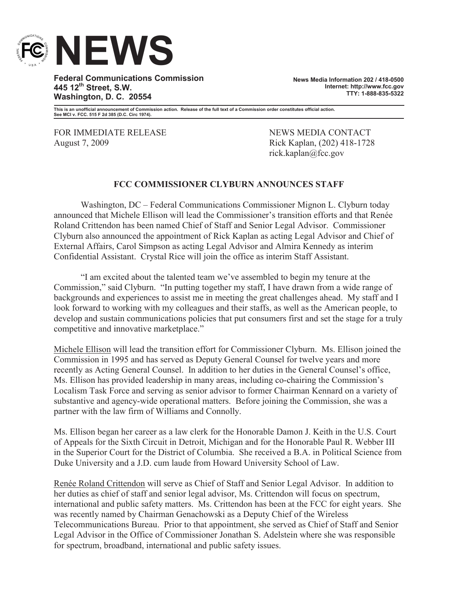

**Federal Communications Commission 445 12th Street, S.W. Washington, D. C. 20554**

**News Media Information 202 / 418-0500 Internet: http://www.fcc.gov TTY: 1-888-835-5322**

**This is an unofficial announcement of Commission action. Release of the full text of a Commission order constitutes official action. See MCI v. FCC. 515 F 2d 385 (D.C. Circ 1974).**

FOR IMMEDIATE RELEASE NEWS MEDIA CONTACT August 7, 2009 Rick Kaplan, (202) 418-1728

rick.kaplan@fcc.gov

## **FCC COMMISSIONER CLYBURN ANNOUNCES STAFF**

Washington, DC – Federal Communications Commissioner Mignon L. Clyburn today announced that Michele Ellison will lead the Commissioner's transition efforts and that Renée Roland Crittendon has been named Chief of Staff and Senior Legal Advisor. Commissioner Clyburn also announced the appointment of Rick Kaplan as acting Legal Advisor and Chief of External Affairs, Carol Simpson as acting Legal Advisor and Almira Kennedy as interim Confidential Assistant. Crystal Rice will join the office as interim Staff Assistant.

"I am excited about the talented team we've assembled to begin my tenure at the Commission," said Clyburn. "In putting together my staff, I have drawn from a wide range of backgrounds and experiences to assist me in meeting the great challenges ahead. My staff and I look forward to working with my colleagues and their staffs, as well as the American people, to develop and sustain communications policies that put consumers first and set the stage for a truly competitive and innovative marketplace."

Michele Ellison will lead the transition effort for Commissioner Clyburn. Ms. Ellison joined the Commission in 1995 and has served as Deputy General Counsel for twelve years and more recently as Acting General Counsel. In addition to her duties in the General Counsel's office, Ms. Ellison has provided leadership in many areas, including co-chairing the Commission's Localism Task Force and serving as senior advisor to former Chairman Kennard on a variety of substantive and agency-wide operational matters. Before joining the Commission, she was a partner with the law firm of Williams and Connolly.

Ms. Ellison began her career as a law clerk for the Honorable Damon J. Keith in the U.S. Court of Appeals for the Sixth Circuit in Detroit, Michigan and for the Honorable Paul R. Webber III in the Superior Court for the District of Columbia. She received a B.A. in Political Science from Duke University and a J.D. cum laude from Howard University School of Law.

Renée Roland Crittendon will serve as Chief of Staff and Senior Legal Advisor. In addition to her duties as chief of staff and senior legal advisor, Ms. Crittendon will focus on spectrum, international and public safety matters. Ms. Crittendon has been at the FCC for eight years. She was recently named by Chairman Genachowski as a Deputy Chief of the Wireless Telecommunications Bureau. Prior to that appointment, she served as Chief of Staff and Senior Legal Advisor in the Office of Commissioner Jonathan S. Adelstein where she was responsible for spectrum, broadband, international and public safety issues.